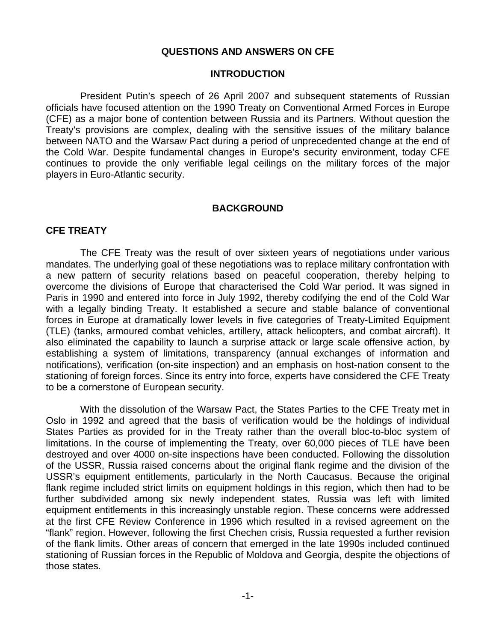#### **QUESTIONS AND ANSWERS ON CFE**

#### **INTRODUCTION**

 President Putin's speech of 26 April 2007 and subsequent statements of Russian officials have focused attention on the 1990 Treaty on Conventional Armed Forces in Europe (CFE) as a major bone of contention between Russia and its Partners. Without question the Treaty's provisions are complex, dealing with the sensitive issues of the military balance between NATO and the Warsaw Pact during a period of unprecedented change at the end of the Cold War. Despite fundamental changes in Europe's security environment, today CFE continues to provide the only verifiable legal ceilings on the military forces of the major players in Euro-Atlantic security.

#### **BACKGROUND**

#### **CFE TREATY**

 The CFE Treaty was the result of over sixteen years of negotiations under various mandates. The underlying goal of these negotiations was to replace military confrontation with a new pattern of security relations based on peaceful cooperation, thereby helping to overcome the divisions of Europe that characterised the Cold War period. It was signed in Paris in 1990 and entered into force in July 1992, thereby codifying the end of the Cold War with a legally binding Treaty. It established a secure and stable balance of conventional forces in Europe at dramatically lower levels in five categories of Treaty-Limited Equipment (TLE) (tanks, armoured combat vehicles, artillery, attack helicopters, and combat aircraft). It also eliminated the capability to launch a surprise attack or large scale offensive action, by establishing a system of limitations, transparency (annual exchanges of information and notifications), verification (on-site inspection) and an emphasis on host-nation consent to the stationing of foreign forces. Since its entry into force, experts have considered the CFE Treaty to be a cornerstone of European security.

 With the dissolution of the Warsaw Pact, the States Parties to the CFE Treaty met in Oslo in 1992 and agreed that the basis of verification would be the holdings of individual States Parties as provided for in the Treaty rather than the overall bloc-to-bloc system of limitations. In the course of implementing the Treaty, over 60,000 pieces of TLE have been destroyed and over 4000 on-site inspections have been conducted. Following the dissolution of the USSR, Russia raised concerns about the original flank regime and the division of the USSR's equipment entitlements, particularly in the North Caucasus. Because the original flank regime included strict limits on equipment holdings in this region, which then had to be further subdivided among six newly independent states, Russia was left with limited equipment entitlements in this increasingly unstable region. These concerns were addressed at the first CFE Review Conference in 1996 which resulted in a revised agreement on the "flank" region. However, following the first Chechen crisis, Russia requested a further revision of the flank limits. Other areas of concern that emerged in the late 1990s included continued stationing of Russian forces in the Republic of Moldova and Georgia, despite the objections of those states.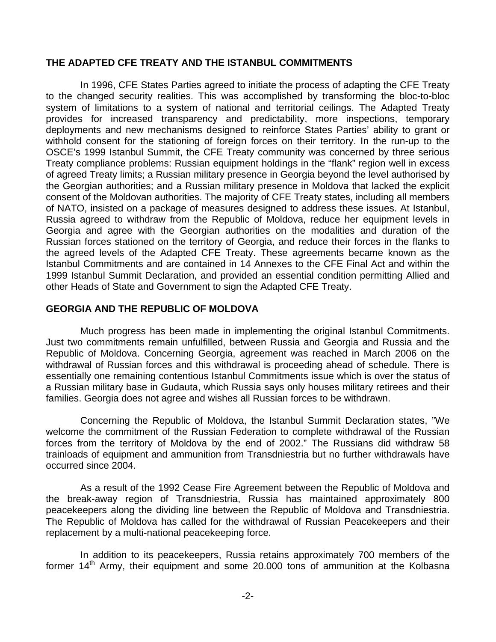#### **THE ADAPTED CFE TREATY AND THE ISTANBUL COMMITMENTS**

 In 1996, CFE States Parties agreed to initiate the process of adapting the CFE Treaty to the changed security realities. This was accomplished by transforming the bloc-to-bloc system of limitations to a system of national and territorial ceilings. The Adapted Treaty provides for increased transparency and predictability, more inspections, temporary deployments and new mechanisms designed to reinforce States Parties' ability to grant or withhold consent for the stationing of foreign forces on their territory. In the run-up to the OSCE's 1999 Istanbul Summit, the CFE Treaty community was concerned by three serious Treaty compliance problems: Russian equipment holdings in the "flank" region well in excess of agreed Treaty limits; a Russian military presence in Georgia beyond the level authorised by the Georgian authorities; and a Russian military presence in Moldova that lacked the explicit consent of the Moldovan authorities. The majority of CFE Treaty states, including all members of NATO, insisted on a package of measures designed to address these issues. At Istanbul, Russia agreed to withdraw from the Republic of Moldova, reduce her equipment levels in Georgia and agree with the Georgian authorities on the modalities and duration of the Russian forces stationed on the territory of Georgia, and reduce their forces in the flanks to the agreed levels of the Adapted CFE Treaty. These agreements became known as the Istanbul Commitments and are contained in 14 Annexes to the CFE Final Act and within the 1999 Istanbul Summit Declaration, and provided an essential condition permitting Allied and other Heads of State and Government to sign the Adapted CFE Treaty.

#### **GEORGIA AND THE REPUBLIC OF MOLDOVA**

 Much progress has been made in implementing the original Istanbul Commitments. Just two commitments remain unfulfilled, between Russia and Georgia and Russia and the Republic of Moldova. Concerning Georgia, agreement was reached in March 2006 on the withdrawal of Russian forces and this withdrawal is proceeding ahead of schedule. There is essentially one remaining contentious Istanbul Commitments issue which is over the status of a Russian military base in Gudauta, which Russia says only houses military retirees and their families. Georgia does not agree and wishes all Russian forces to be withdrawn.

 Concerning the Republic of Moldova, the Istanbul Summit Declaration states, "We welcome the commitment of the Russian Federation to complete withdrawal of the Russian forces from the territory of Moldova by the end of 2002." The Russians did withdraw 58 trainloads of equipment and ammunition from Transdniestria but no further withdrawals have occurred since 2004.

 As a result of the 1992 Cease Fire Agreement between the Republic of Moldova and the break-away region of Transdniestria, Russia has maintained approximately 800 peacekeepers along the dividing line between the Republic of Moldova and Transdniestria. The Republic of Moldova has called for the withdrawal of Russian Peacekeepers and their replacement by a multi-national peacekeeping force.

 In addition to its peacekeepers, Russia retains approximately 700 members of the former 14<sup>th</sup> Army, their equipment and some 20.000 tons of ammunition at the Kolbasna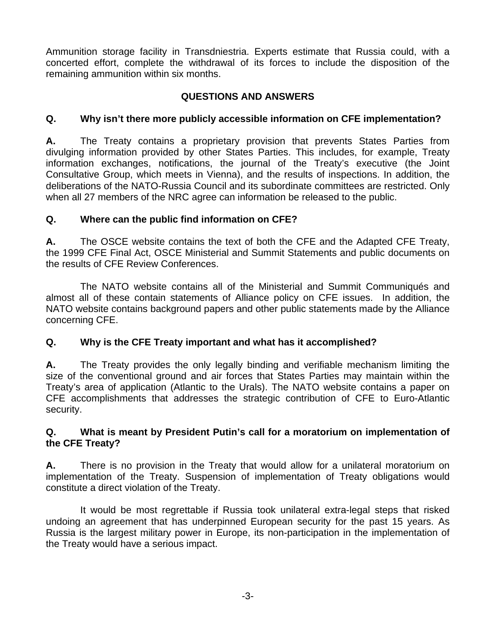Ammunition storage facility in Transdniestria. Experts estimate that Russia could, with a concerted effort, complete the withdrawal of its forces to include the disposition of the remaining ammunition within six months.

## **QUESTIONS AND ANSWERS**

## **Q. Why isn't there more publicly accessible information on CFE implementation?**

**A.** The Treaty contains a proprietary provision that prevents States Parties from divulging information provided by other States Parties. This includes, for example, Treaty information exchanges, notifications, the journal of the Treaty's executive (the Joint Consultative Group, which meets in Vienna), and the results of inspections. In addition, the deliberations of the NATO-Russia Council and its subordinate committees are restricted. Only when all 27 members of the NRC agree can information be released to the public.

## **Q. Where can the public find information on CFE?**

**A.** The OSCE website contains the text of both the CFE and the Adapted CFE Treaty, the 1999 CFE Final Act, OSCE Ministerial and Summit Statements and public documents on the results of CFE Review Conferences.

 The NATO website contains all of the Ministerial and Summit Communiqués and almost all of these contain statements of Alliance policy on CFE issues. In addition, the NATO website contains background papers and other public statements made by the Alliance concerning CFE.

# **Q. Why is the CFE Treaty important and what has it accomplished?**

**A.** The Treaty provides the only legally binding and verifiable mechanism limiting the size of the conventional ground and air forces that States Parties may maintain within the Treaty's area of application (Atlantic to the Urals). The NATO website contains a paper on CFE accomplishments that addresses the strategic contribution of CFE to Euro-Atlantic security.

## **Q. What is meant by President Putin's call for a moratorium on implementation of the CFE Treaty?**

**A.** There is no provision in the Treaty that would allow for a unilateral moratorium on implementation of the Treaty. Suspension of implementation of Treaty obligations would constitute a direct violation of the Treaty.

 It would be most regrettable if Russia took unilateral extra-legal steps that risked undoing an agreement that has underpinned European security for the past 15 years. As Russia is the largest military power in Europe, its non-participation in the implementation of the Treaty would have a serious impact.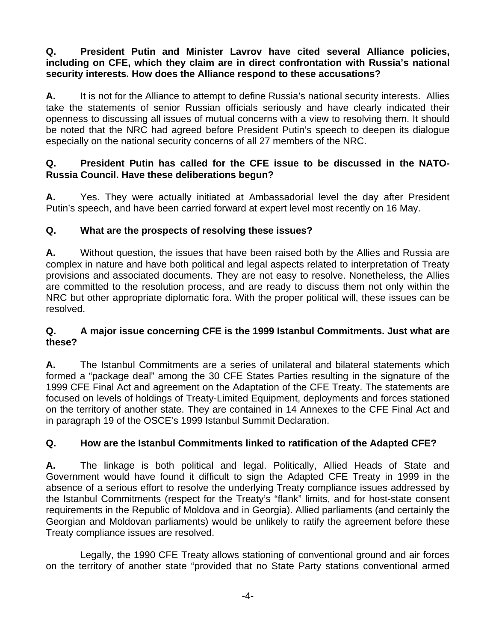## **Q. President Putin and Minister Lavrov have cited several Alliance policies, including on CFE, which they claim are in direct confrontation with Russia's national security interests. How does the Alliance respond to these accusations?**

**A.** It is not for the Alliance to attempt to define Russia's national security interests. Allies take the statements of senior Russian officials seriously and have clearly indicated their openness to discussing all issues of mutual concerns with a view to resolving them. It should be noted that the NRC had agreed before President Putin's speech to deepen its dialogue especially on the national security concerns of all 27 members of the NRC.

## **Q. President Putin has called for the CFE issue to be discussed in the NATO-Russia Council. Have these deliberations begun?**

**A.** Yes. They were actually initiated at Ambassadorial level the day after President Putin's speech, and have been carried forward at expert level most recently on 16 May.

# **Q. What are the prospects of resolving these issues?**

**A.** Without question, the issues that have been raised both by the Allies and Russia are complex in nature and have both political and legal aspects related to interpretation of Treaty provisions and associated documents. They are not easy to resolve. Nonetheless, the Allies are committed to the resolution process, and are ready to discuss them not only within the NRC but other appropriate diplomatic fora. With the proper political will, these issues can be resolved.

## **Q. A major issue concerning CFE is the 1999 Istanbul Commitments. Just what are these?**

**A.** The Istanbul Commitments are a series of unilateral and bilateral statements which formed a "package deal" among the 30 CFE States Parties resulting in the signature of the 1999 CFE Final Act and agreement on the Adaptation of the CFE Treaty. The statements are focused on levels of holdings of Treaty-Limited Equipment, deployments and forces stationed on the territory of another state. They are contained in 14 Annexes to the CFE Final Act and in paragraph 19 of the OSCE's 1999 Istanbul Summit Declaration.

## **Q. How are the Istanbul Commitments linked to ratification of the Adapted CFE?**

**A.** The linkage is both political and legal. Politically, Allied Heads of State and Government would have found it difficult to sign the Adapted CFE Treaty in 1999 in the absence of a serious effort to resolve the underlying Treaty compliance issues addressed by the Istanbul Commitments (respect for the Treaty's "flank" limits, and for host-state consent requirements in the Republic of Moldova and in Georgia). Allied parliaments (and certainly the Georgian and Moldovan parliaments) would be unlikely to ratify the agreement before these Treaty compliance issues are resolved.

 Legally, the 1990 CFE Treaty allows stationing of conventional ground and air forces on the territory of another state "provided that no State Party stations conventional armed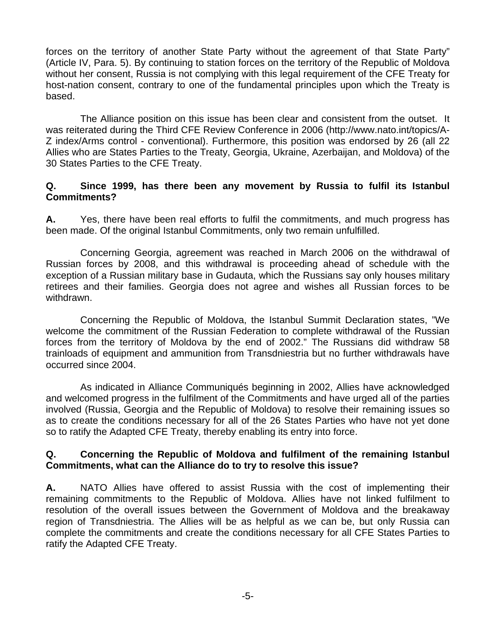forces on the territory of another State Party without the agreement of that State Party" (Article IV, Para. 5). By continuing to station forces on the territory of the Republic of Moldova without her consent, Russia is not complying with this legal requirement of the CFE Treaty for host-nation consent, contrary to one of the fundamental principles upon which the Treaty is based.

 The Alliance position on this issue has been clear and consistent from the outset. It was reiterated during the Third CFE Review Conference in 2006 (http://www.nato.int/topics/A-Z index/Arms control - conventional). Furthermore, this position was endorsed by 26 (all 22 Allies who are States Parties to the Treaty, Georgia, Ukraine, Azerbaijan, and Moldova) of the 30 States Parties to the CFE Treaty.

#### **Q. Since 1999, has there been any movement by Russia to fulfil its Istanbul Commitments?**

**A.** Yes, there have been real efforts to fulfil the commitments, and much progress has been made. Of the original Istanbul Commitments, only two remain unfulfilled.

 Concerning Georgia, agreement was reached in March 2006 on the withdrawal of Russian forces by 2008, and this withdrawal is proceeding ahead of schedule with the exception of a Russian military base in Gudauta, which the Russians say only houses military retirees and their families. Georgia does not agree and wishes all Russian forces to be withdrawn.

 Concerning the Republic of Moldova, the Istanbul Summit Declaration states, "We welcome the commitment of the Russian Federation to complete withdrawal of the Russian forces from the territory of Moldova by the end of 2002." The Russians did withdraw 58 trainloads of equipment and ammunition from Transdniestria but no further withdrawals have occurred since 2004.

 As indicated in Alliance Communiqués beginning in 2002, Allies have acknowledged and welcomed progress in the fulfilment of the Commitments and have urged all of the parties involved (Russia, Georgia and the Republic of Moldova) to resolve their remaining issues so as to create the conditions necessary for all of the 26 States Parties who have not yet done so to ratify the Adapted CFE Treaty, thereby enabling its entry into force.

#### **Q. Concerning the Republic of Moldova and fulfilment of the remaining Istanbul Commitments, what can the Alliance do to try to resolve this issue?**

**A.** NATO Allies have offered to assist Russia with the cost of implementing their remaining commitments to the Republic of Moldova. Allies have not linked fulfilment to resolution of the overall issues between the Government of Moldova and the breakaway region of Transdniestria. The Allies will be as helpful as we can be, but only Russia can complete the commitments and create the conditions necessary for all CFE States Parties to ratify the Adapted CFE Treaty.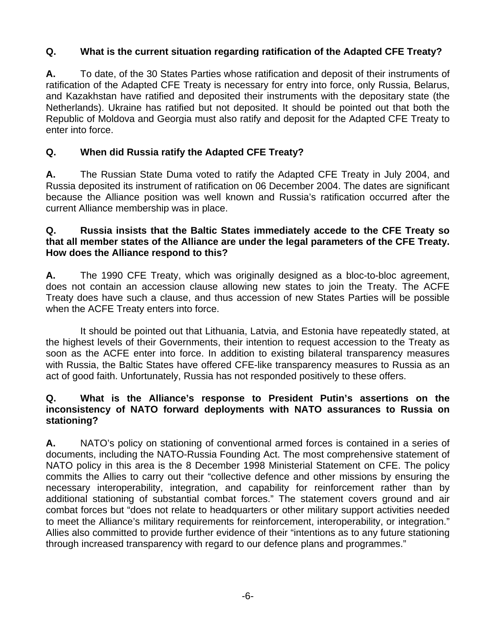## **Q. What is the current situation regarding ratification of the Adapted CFE Treaty?**

**A.** To date, of the 30 States Parties whose ratification and deposit of their instruments of ratification of the Adapted CFE Treaty is necessary for entry into force, only Russia, Belarus, and Kazakhstan have ratified and deposited their instruments with the depositary state (the Netherlands). Ukraine has ratified but not deposited. It should be pointed out that both the Republic of Moldova and Georgia must also ratify and deposit for the Adapted CFE Treaty to enter into force.

## **Q. When did Russia ratify the Adapted CFE Treaty?**

**A.** The Russian State Duma voted to ratify the Adapted CFE Treaty in July 2004, and Russia deposited its instrument of ratification on 06 December 2004. The dates are significant because the Alliance position was well known and Russia's ratification occurred after the current Alliance membership was in place.

## **Q. Russia insists that the Baltic States immediately accede to the CFE Treaty so that all member states of the Alliance are under the legal parameters of the CFE Treaty. How does the Alliance respond to this?**

**A.** The 1990 CFE Treaty, which was originally designed as a bloc-to-bloc agreement, does not contain an accession clause allowing new states to join the Treaty. The ACFE Treaty does have such a clause, and thus accession of new States Parties will be possible when the ACFE Treaty enters into force.

 It should be pointed out that Lithuania, Latvia, and Estonia have repeatedly stated, at the highest levels of their Governments, their intention to request accession to the Treaty as soon as the ACFE enter into force. In addition to existing bilateral transparency measures with Russia, the Baltic States have offered CFE-like transparency measures to Russia as an act of good faith. Unfortunately, Russia has not responded positively to these offers.

### **Q. What is the Alliance's response to President Putin's assertions on the inconsistency of NATO forward deployments with NATO assurances to Russia on stationing?**

**A.** NATO's policy on stationing of conventional armed forces is contained in a series of documents, including the NATO-Russia Founding Act. The most comprehensive statement of NATO policy in this area is the 8 December 1998 Ministerial Statement on CFE. The policy commits the Allies to carry out their "collective defence and other missions by ensuring the necessary interoperability, integration, and capability for reinforcement rather than by additional stationing of substantial combat forces." The statement covers ground and air combat forces but "does not relate to headquarters or other military support activities needed to meet the Alliance's military requirements for reinforcement, interoperability, or integration." Allies also committed to provide further evidence of their "intentions as to any future stationing through increased transparency with regard to our defence plans and programmes."